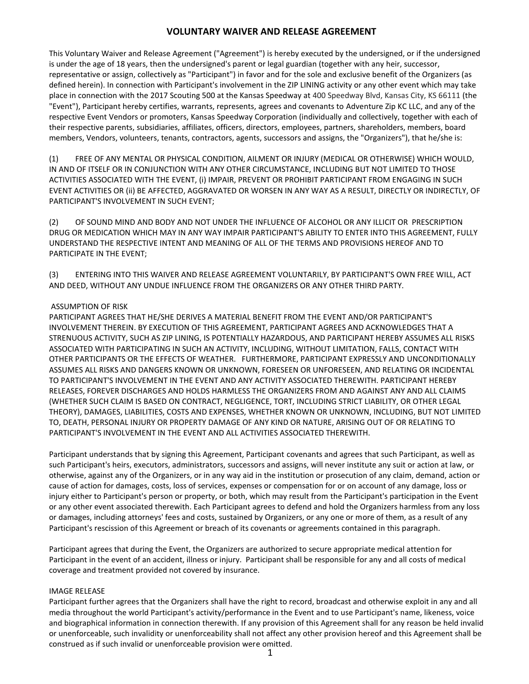## **VOLUNTARY WAIVER AND RELEASE AGREEMENT**

This Voluntary Waiver and Release Agreement ("Agreement") is hereby executed by the undersigned, or if the undersigned is under the age of 18 years, then the undersigned's parent or legal guardian (together with any heir, successor, representative or assign, collectively as "Participant") in favor and for the sole and exclusive benefit of the Organizers (as defined herein). In connection with Participant's involvement in the ZIP LINING activity or any other event which may take place in connection with the 2017 Scouting 500 at the Kansas Speedway at 400 Speedway Blvd, Kansas City, KS 66111 (the "Event"), Participant hereby certifies, warrants, represents, agrees and covenants to Adventure Zip KC LLC, and any of the respective Event Vendors or promoters, Kansas Speedway Corporation (individually and collectively, together with each of their respective parents, subsidiaries, affiliates, officers, directors, employees, partners, shareholders, members, board members, Vendors, volunteers, tenants, contractors, agents, successors and assigns, the "Organizers"), that he/she is:

(1) FREE OF ANY MENTAL OR PHYSICAL CONDITION, AILMENT OR INJURY (MEDICAL OR OTHERWISE) WHICH WOULD, IN AND OF ITSELF OR IN CONJUNCTION WITH ANY OTHER CIRCUMSTANCE, INCLUDING BUT NOT LIMITED TO THOSE ACTIVITIES ASSOCIATED WITH THE EVENT, (i) IMPAIR, PREVENT OR PROHIBIT PARTICIPANT FROM ENGAGING IN SUCH EVENT ACTIVITIES OR (ii) BE AFFECTED, AGGRAVATED OR WORSEN IN ANY WAY AS A RESULT, DIRECTLY OR INDIRECTLY, OF PARTICIPANT'S INVOLVEMENT IN SUCH EVENT;

(2) OF SOUND MIND AND BODY AND NOT UNDER THE INFLUENCE OF ALCOHOL OR ANY ILLICIT OR PRESCRIPTION DRUG OR MEDICATION WHICH MAY IN ANY WAY IMPAIR PARTICIPANT'S ABILITY TO ENTER INTO THIS AGREEMENT, FULLY UNDERSTAND THE RESPECTIVE INTENT AND MEANING OF ALL OF THE TERMS AND PROVISIONS HEREOF AND TO PARTICIPATE IN THE EVENT;

(3) ENTERING INTO THIS WAIVER AND RELEASE AGREEMENT VOLUNTARILY, BY PARTICIPANT'S OWN FREE WILL, ACT AND DEED, WITHOUT ANY UNDUE INFLUENCE FROM THE ORGANIZERS OR ANY OTHER THIRD PARTY.

## ASSUMPTION OF RISK

PARTICIPANT AGREES THAT HE/SHE DERIVES A MATERIAL BENEFIT FROM THE EVENT AND/OR PARTICIPANT'S INVOLVEMENT THEREIN. BY EXECUTION OF THIS AGREEMENT, PARTICIPANT AGREES AND ACKNOWLEDGES THAT A STRENUOUS ACTIVITY, SUCH AS ZIP LINING, IS POTENTIALLY HAZARDOUS, AND PARTICIPANT HEREBY ASSUMES ALL RISKS ASSOCIATED WITH PARTICIPATING IN SUCH AN ACTIVITY, INCLUDING, WITHOUT LIMITATION, FALLS, CONTACT WITH OTHER PARTICIPANTS OR THE EFFECTS OF WEATHER. FURTHERMORE, PARTICIPANT EXPRESSLY AND UNCONDITIONALLY ASSUMES ALL RISKS AND DANGERS KNOWN OR UNKNOWN, FORESEEN OR UNFORESEEN, AND RELATING OR INCIDENTAL TO PARTICIPANT'S INVOLVEMENT IN THE EVENT AND ANY ACTIVITY ASSOCIATED THEREWITH. PARTICIPANT HEREBY RELEASES, FOREVER DISCHARGES AND HOLDS HARMLESS THE ORGANIZERS FROM AND AGAINST ANY AND ALL CLAIMS (WHETHER SUCH CLAIM IS BASED ON CONTRACT, NEGLIGENCE, TORT, INCLUDING STRICT LIABILITY, OR OTHER LEGAL THEORY), DAMAGES, LIABILITIES, COSTS AND EXPENSES, WHETHER KNOWN OR UNKNOWN, INCLUDING, BUT NOT LIMITED TO, DEATH, PERSONAL INJURY OR PROPERTY DAMAGE OF ANY KIND OR NATURE, ARISING OUT OF OR RELATING TO PARTICIPANT'S INVOLVEMENT IN THE EVENT AND ALL ACTIVITIES ASSOCIATED THEREWITH.

Participant understands that by signing this Agreement, Participant covenants and agrees that such Participant, as well as such Participant's heirs, executors, administrators, successors and assigns, will never institute any suit or action at law, or otherwise, against any of the Organizers, or in any way aid in the institution or prosecution of any claim, demand, action or cause of action for damages, costs, loss of services, expenses or compensation for or on account of any damage, loss or injury either to Participant's person or property, or both, which may result from the Participant's participation in the Event or any other event associated therewith. Each Participant agrees to defend and hold the Organizers harmless from any loss or damages, including attorneys' fees and costs, sustained by Organizers, or any one or more of them, as a result of any Participant's rescission of this Agreement or breach of its covenants or agreements contained in this paragraph.

Participant agrees that during the Event, the Organizers are authorized to secure appropriate medical attention for Participant in the event of an accident, illness or injury. Participant shall be responsible for any and all costs of medical coverage and treatment provided not covered by insurance.

## IMAGE RELEASE

Participant further agrees that the Organizers shall have the right to record, broadcast and otherwise exploit in any and all media throughout the world Participant's activity/performance in the Event and to use Participant's name, likeness, voice and biographical information in connection therewith. If any provision of this Agreement shall for any reason be held invalid or unenforceable, such invalidity or unenforceability shall not affect any other provision hereof and this Agreement shall be construed as if such invalid or unenforceable provision were omitted.